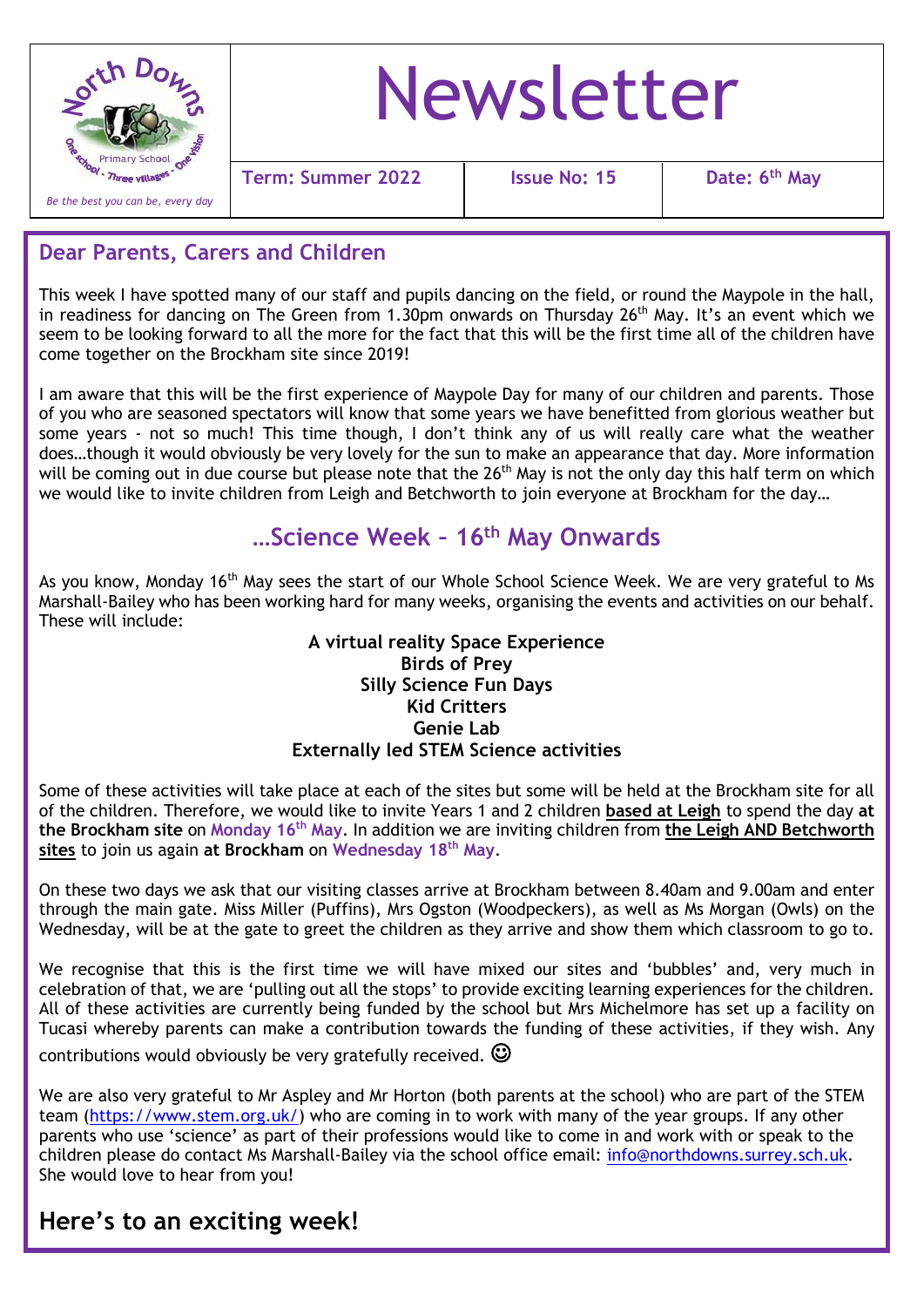

# Newsletter

**Term:** Summer 2022 | Issue No: 15

**Date: 6<sup>th</sup> May** 

### **Dear Parents, Carers and Children**

This week I have spotted many of our staff and pupils dancing on the field, or round the Maypole in the hall, in readiness for dancing on The Green from 1.30pm onwards on Thursday 26<sup>th</sup> May. It's an event which we seem to be looking forward to all the more for the fact that this will be the first time all of the children have come together on the Brockham site since 2019!

I am aware that this will be the first experience of Maypole Day for many of our children and parents. Those of you who are seasoned spectators will know that some years we have benefitted from glorious weather but some years - not so much! This time though, I don't think any of us will really care what the weather does…though it would obviously be very lovely for the sun to make an appearance that day. More information will be coming out in due course but please note that the 26<sup>th</sup> May is not the only day this half term on which we would like to invite children from Leigh and Betchworth to join everyone at Brockham for the day…

# **…Science Week – 16th May Onwards**

As you know, Monday 16<sup>th</sup> May sees the start of our Whole School Science Week. We are very grateful to Ms Marshall-Bailey who has been working hard for many weeks, organising the events and activities on our behalf. These will include:

#### **A virtual reality Space Experience Birds of Prey Silly Science Fun Days Kid Critters Genie Lab Externally led STEM Science activities**

Some of these activities will take place at each of the sites but some will be held at the Brockham site for all of the children. Therefore, we would like to invite Years 1 and 2 children **based at Leigh** to spend the day **at the Brockham site** on **Monday 16th May**. In addition we are inviting children from **the Leigh AND Betchworth sites** to join us again **at Brockham** on **Wednesday 18th May**.

On these two days we ask that our visiting classes arrive at Brockham between 8.40am and 9.00am and enter through the main gate. Miss Miller (Puffins), Mrs Ogston (Woodpeckers), as well as Ms Morgan (Owls) on the Wednesday, will be at the gate to greet the children as they arrive and show them which classroom to go to.

 $\overline{a}$ We recognise that this is the first time we will have mixed our sites and 'bubbles' and, very much in celebration of that, we are 'pulling out all the stops' to provide exciting learning experiences for the children. All of these activities are currently being funded by the school but Mrs Michelmore has set up a facility on Tucasi whereby parents can make a contribution towards the funding of these activities, if they wish. Any

contributions would obviously be very gratefully received.  $\mathbb{O}$ 

We are also very grateful to Mr Aspley and Mr Horton (both parents at the school) who are part of the STEM team [\(https://www.stem.org.uk/\)](https://www.stem.org.uk/) who are coming in to work with many of the year groups. If any other parents who use 'science' as part of their professions would like to come in and work with or speak to the children please do contact Ms Marshall-Bailey via the school office email: [info@northdowns.surrey.sch.uk.](mailto:info@northdowns.surrey.sch.uk) She would love to hear from you!

# **Here's to an exciting week!**